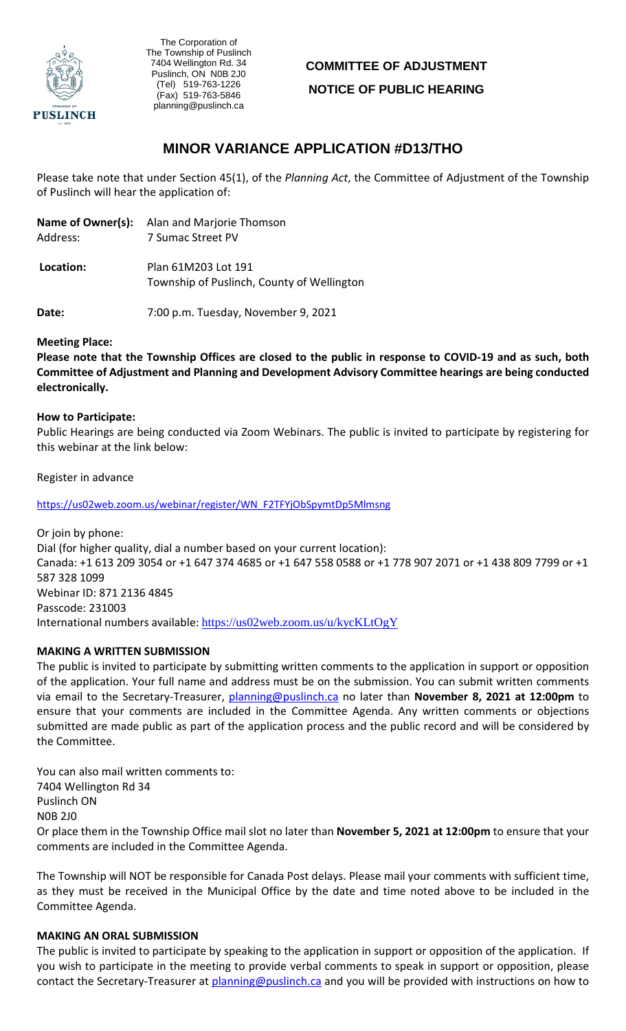

, The Corporation of The Township of Puslinch 7404 Wellington Rd. 34 Puslinch, ON N0B 2J0 (Tel) 519-763-1226 (Fax) 519-763-5846 planning@puslinch.ca

# **COMMITTEE OF ADJUSTMENT NOTICE OF PUBLIC HEARING**

# **MINOR VARIANCE APPLICATION #D13/THO**

Please take note that under Section 45(1), of the *Planning Act*, the Committee of Adjustment of the Township of Puslinch will hear the application of:

|           | <b>Name of Owner(s):</b> Alan and Marjorie Thomson<br>7 Sumac Street PV |  |
|-----------|-------------------------------------------------------------------------|--|
| Address:  |                                                                         |  |
| Location: | Plan 61M203 Lot 191                                                     |  |
|           | Township of Puslinch, County of Wellington                              |  |

**Date:** 7:00 p.m. Tuesday, November 9, 2021

#### **Meeting Place:**

**Please note that the Township Offices are closed to the public in response to COVID-19 and as such, both Committee of Adjustment and Planning and Development Advisory Committee hearings are being conducted electronically.** 

#### **How to Participate:**

Public Hearings are being conducted via Zoom Webinars. The public is invited to participate by registering for this webinar at the link below:

Register in advance

[https://us02web.zoom.us/webinar/register/WN\\_F2TFYjObSpymtDp5Mlmsng](https://us02web.zoom.us/webinar/register/WN_F2TFYjObSpymtDp5Mlmsng)

Or join by phone: Dial (for higher quality, dial a number based on your current location): Canada: +1 613 209 3054 or +1 647 374 4685 or +1 647 558 0588 or +1 778 907 2071 or +1 438 809 7799 or +1 587 328 1099 Webinar ID: 871 2136 4845 Passcode: 231003 International numbers available: <https://us02web.zoom.us/u/kycKLtOgY>

# **MAKING A WRITTEN SUBMISSION**

The public is invited to participate by submitting written comments to the application in support or opposition of the application. Your full name and address must be on the submission. You can submit written comments via email to the Secretary-Treasurer, planning@puslinch.ca no later than **November 8, 2021 at 12:00pm** to ensure that your comments are included in the Committee Agenda. Any written comments or objections submitted are made public as part of the application process and the public record and will be considered by the Committee.

You can also mail written comments to: 7404 Wellington Rd 34 Puslinch ON N0B 2J0 Or place them in the Township Office mail slot no later than **November 5, 2021 at 12:00pm** to ensure that your comments are included in the Committee Agenda.

The Township will NOT be responsible for Canada Post delays. Please mail your comments with sufficient time, as they must be received in the Municipal Office by the date and time noted above to be included in the Committee Agenda.

#### **MAKING AN ORAL SUBMISSION**

The public is invited to participate by speaking to the application in support or opposition of the application. If you wish to participate in the meeting to provide verbal comments to speak in support or opposition, please contact the Secretary-Treasurer at planning@puslinch.ca and you will be provided with instructions on how to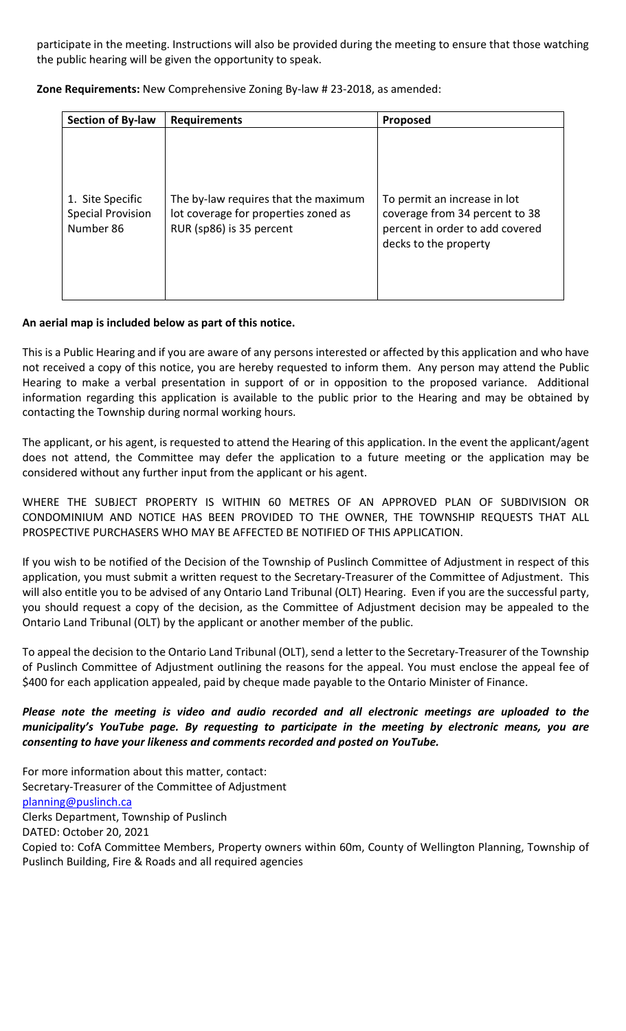participate in the meeting. Instructions will also be provided during the meeting to ensure that those watching the public hearing will be given the opportunity to speak.

**Zone Requirements:** New Comprehensive Zoning By-law # 23-2018, as amended:

| <b>Section of By-law</b>                                  | <b>Requirements</b>                                                                                      | Proposed                                                                                                                   |
|-----------------------------------------------------------|----------------------------------------------------------------------------------------------------------|----------------------------------------------------------------------------------------------------------------------------|
| 1. Site Specific<br><b>Special Provision</b><br>Number 86 | The by-law requires that the maximum<br>lot coverage for properties zoned as<br>RUR (sp86) is 35 percent | To permit an increase in lot<br>coverage from 34 percent to 38<br>percent in order to add covered<br>decks to the property |

### **An aerial map is included below as part of this notice.**

This is a Public Hearing and if you are aware of any persons interested or affected by this application and who have not received a copy of this notice, you are hereby requested to inform them. Any person may attend the Public Hearing to make a verbal presentation in support of or in opposition to the proposed variance. Additional information regarding this application is available to the public prior to the Hearing and may be obtained by contacting the Township during normal working hours.

The applicant, or his agent, is requested to attend the Hearing of this application. In the event the applicant/agent does not attend, the Committee may defer the application to a future meeting or the application may be considered without any further input from the applicant or his agent.

WHERE THE SUBJECT PROPERTY IS WITHIN 60 METRES OF AN APPROVED PLAN OF SUBDIVISION OR CONDOMINIUM AND NOTICE HAS BEEN PROVIDED TO THE OWNER, THE TOWNSHIP REQUESTS THAT ALL PROSPECTIVE PURCHASERS WHO MAY BE AFFECTED BE NOTIFIED OF THIS APPLICATION.

If you wish to be notified of the Decision of the Township of Puslinch Committee of Adjustment in respect of this application, you must submit a written request to the Secretary-Treasurer of the Committee of Adjustment. This will also entitle you to be advised of any Ontario Land Tribunal (OLT) Hearing. Even if you are the successful party, you should request a copy of the decision, as the Committee of Adjustment decision may be appealed to the Ontario Land Tribunal (OLT) by the applicant or another member of the public.

To appeal the decision to the Ontario Land Tribunal (OLT), send a letter to the Secretary-Treasurer of the Township of Puslinch Committee of Adjustment outlining the reasons for the appeal. You must enclose the appeal fee of \$400 for each application appealed, paid by cheque made payable to the Ontario Minister of Finance.

## *Please note the meeting is video and audio recorded and all electronic meetings are uploaded to the municipality's YouTube page. By requesting to participate in the meeting by electronic means, you are consenting to have your likeness and comments recorded and posted on YouTube.*

For more information about this matter, contact: Secretary-Treasurer of the Committee of Adjustment [planning@puslinch.ca](mailto:planning@puslinch.ca) Clerks Department, Township of Puslinch DATED: October 20, 2021 Copied to: CofA Committee Members, Property owners within 60m, County of Wellington Planning, Township of Puslinch Building, Fire & Roads and all required agencies